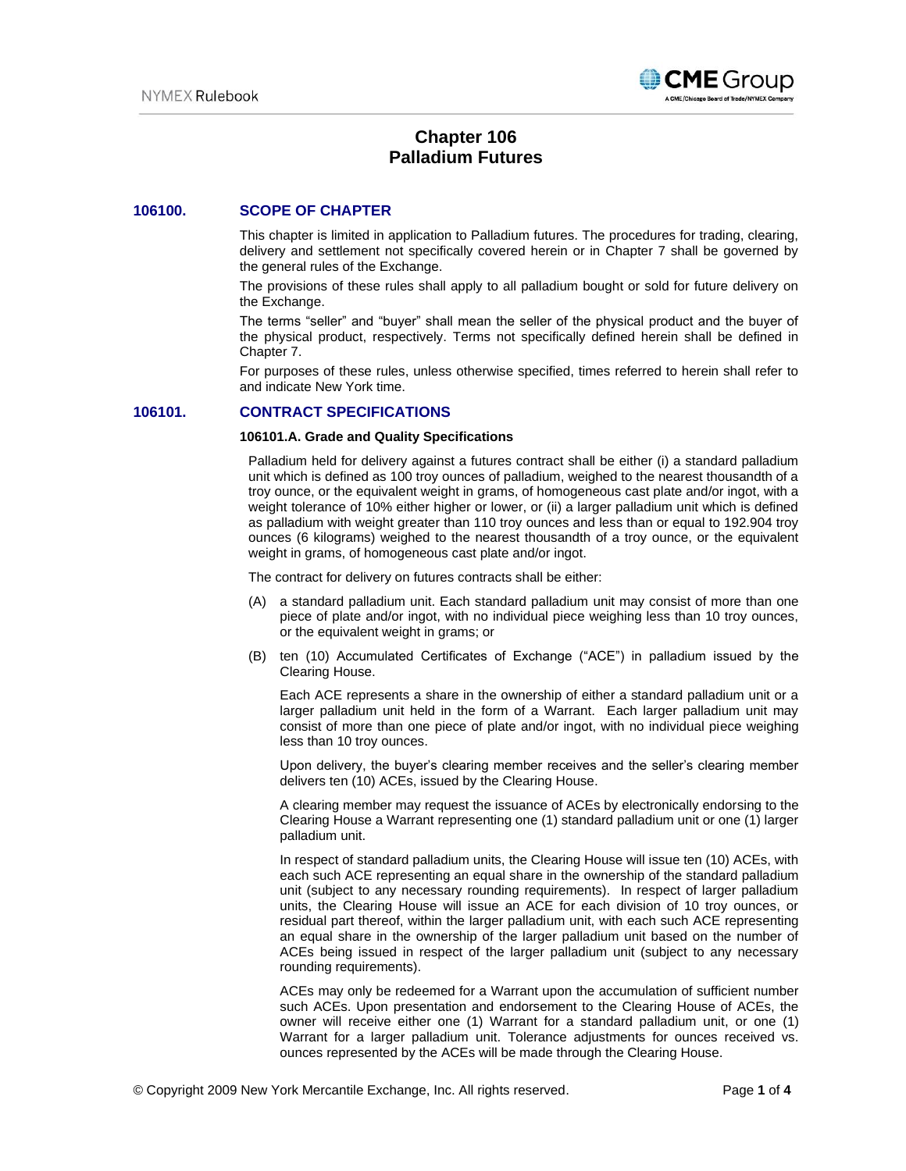

# **Chapter 106 Palladium Futures**

# **106100. SCOPE OF CHAPTER**

This chapter is limited in application to Palladium futures. The procedures for trading, clearing, delivery and settlement not specifically covered herein or in Chapter 7 shall be governed by the general rules of the Exchange.

The provisions of these rules shall apply to all palladium bought or sold for future delivery on the Exchange.

The terms "seller" and "buyer" shall mean the seller of the physical product and the buyer of the physical product, respectively. Terms not specifically defined herein shall be defined in Chapter 7.

For purposes of these rules, unless otherwise specified, times referred to herein shall refer to and indicate New York time.

# **106101. CONTRACT SPECIFICATIONS**

#### **106101.A. Grade and Quality Specifications**

Palladium held for delivery against a futures contract shall be either (i) a standard palladium unit which is defined as 100 troy ounces of palladium, weighed to the nearest thousandth of a troy ounce, or the equivalent weight in grams, of homogeneous cast plate and/or ingot, with a weight tolerance of 10% either higher or lower, or (ii) a larger palladium unit which is defined as palladium with weight greater than 110 troy ounces and less than or equal to 192.904 troy ounces (6 kilograms) weighed to the nearest thousandth of a troy ounce, or the equivalent weight in grams, of homogeneous cast plate and/or ingot.

The contract for delivery on futures contracts shall be either:

- (A) a standard palladium unit. Each standard palladium unit may consist of more than one piece of plate and/or ingot, with no individual piece weighing less than 10 troy ounces, or the equivalent weight in grams; or
- (B) ten (10) Accumulated Certificates of Exchange ("ACE") in palladium issued by the Clearing House.

Each ACE represents a share in the ownership of either a standard palladium unit or a larger palladium unit held in the form of a Warrant. Each larger palladium unit may consist of more than one piece of plate and/or ingot, with no individual piece weighing less than 10 troy ounces.

Upon delivery, the buyer's clearing member receives and the seller's clearing member delivers ten (10) ACEs, issued by the Clearing House.

A clearing member may request the issuance of ACEs by electronically endorsing to the Clearing House a Warrant representing one (1) standard palladium unit or one (1) larger palladium unit.

In respect of standard palladium units, the Clearing House will issue ten (10) ACEs, with each such ACE representing an equal share in the ownership of the standard palladium unit (subject to any necessary rounding requirements). In respect of larger palladium units, the Clearing House will issue an ACE for each division of 10 troy ounces, or residual part thereof, within the larger palladium unit, with each such ACE representing an equal share in the ownership of the larger palladium unit based on the number of ACEs being issued in respect of the larger palladium unit (subject to any necessary rounding requirements).

ACEs may only be redeemed for a Warrant upon the accumulation of sufficient number such ACEs. Upon presentation and endorsement to the Clearing House of ACEs, the owner will receive either one (1) Warrant for a standard palladium unit, or one (1) Warrant for a larger palladium unit. Tolerance adjustments for ounces received vs. ounces represented by the ACEs will be made through the Clearing House.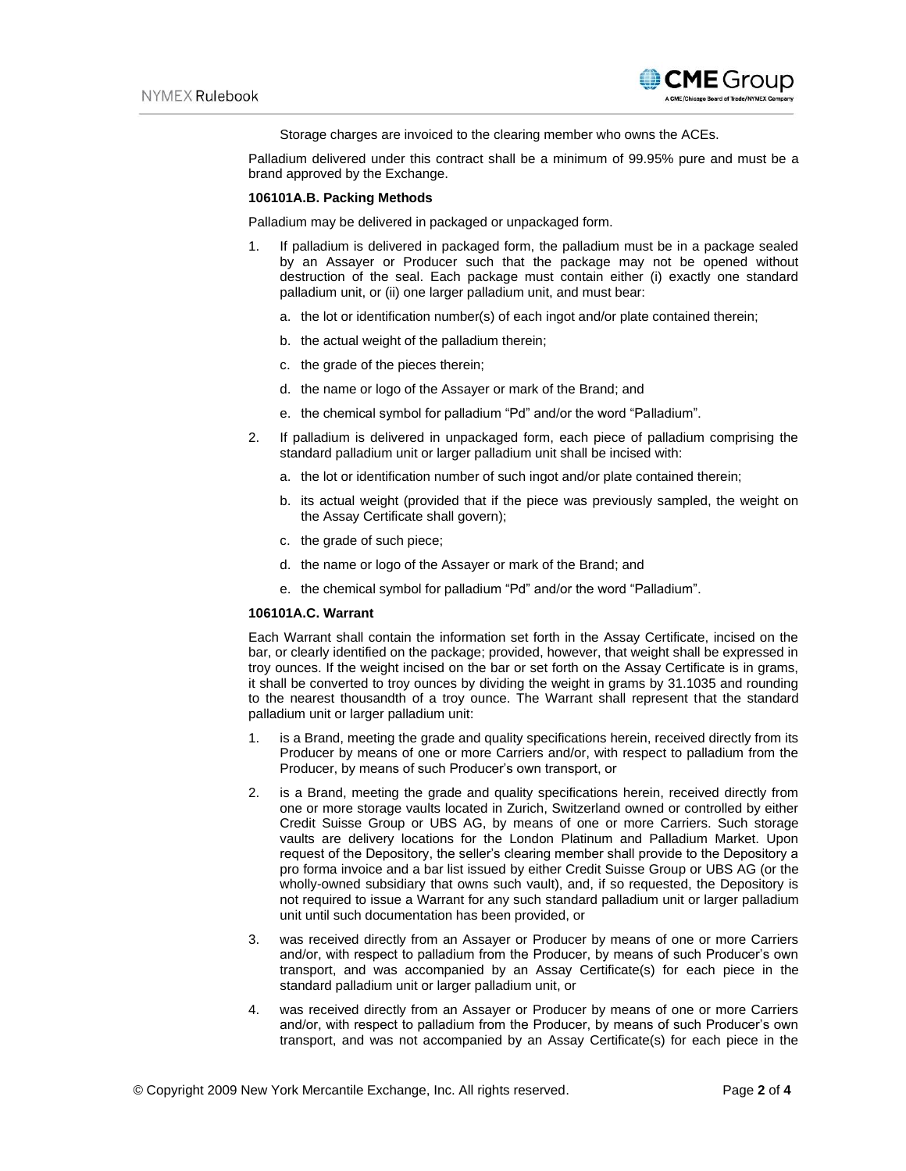

Storage charges are invoiced to the clearing member who owns the ACEs.

Palladium delivered under this contract shall be a minimum of 99.95% pure and must be a brand approved by the Exchange.

# **106101A.B. Packing Methods**

Palladium may be delivered in packaged or unpackaged form.

- 1. If palladium is delivered in packaged form, the palladium must be in a package sealed by an Assayer or Producer such that the package may not be opened without destruction of the seal. Each package must contain either (i) exactly one standard palladium unit, or (ii) one larger palladium unit, and must bear:
	- a. the lot or identification number(s) of each ingot and/or plate contained therein;
	- b. the actual weight of the palladium therein;
	- c. the grade of the pieces therein;
	- d. the name or logo of the Assayer or mark of the Brand; and
	- e. the chemical symbol for palladium "Pd" and/or the word "Palladium".
- 2. If palladium is delivered in unpackaged form, each piece of palladium comprising the standard palladium unit or larger palladium unit shall be incised with:
	- a. the lot or identification number of such ingot and/or plate contained therein;
	- b. its actual weight (provided that if the piece was previously sampled, the weight on the Assay Certificate shall govern);
	- c. the grade of such piece;
	- d. the name or logo of the Assayer or mark of the Brand; and
	- e. the chemical symbol for palladium "Pd" and/or the word "Palladium".

#### **106101A.C. Warrant**

Each Warrant shall contain the information set forth in the Assay Certificate, incised on the bar, or clearly identified on the package; provided, however, that weight shall be expressed in troy ounces. If the weight incised on the bar or set forth on the Assay Certificate is in grams, it shall be converted to troy ounces by dividing the weight in grams by 31.1035 and rounding to the nearest thousandth of a troy ounce. The Warrant shall represent that the standard palladium unit or larger palladium unit:

- 1. is a Brand, meeting the grade and quality specifications herein, received directly from its Producer by means of one or more Carriers and/or, with respect to palladium from the Producer, by means of such Producer's own transport, or
- 2. is a Brand, meeting the grade and quality specifications herein, received directly from one or more storage vaults located in Zurich, Switzerland owned or controlled by either Credit Suisse Group or UBS AG, by means of one or more Carriers. Such storage vaults are delivery locations for the London Platinum and Palladium Market. Upon request of the Depository, the seller's clearing member shall provide to the Depository a pro forma invoice and a bar list issued by either Credit Suisse Group or UBS AG (or the wholly-owned subsidiary that owns such vault), and, if so requested, the Depository is not required to issue a Warrant for any such standard palladium unit or larger palladium unit until such documentation has been provided, or
- 3. was received directly from an Assayer or Producer by means of one or more Carriers and/or, with respect to palladium from the Producer, by means of such Producer's own transport, and was accompanied by an Assay Certificate(s) for each piece in the standard palladium unit or larger palladium unit, or
- 4. was received directly from an Assayer or Producer by means of one or more Carriers and/or, with respect to palladium from the Producer, by means of such Producer's own transport, and was not accompanied by an Assay Certificate(s) for each piece in the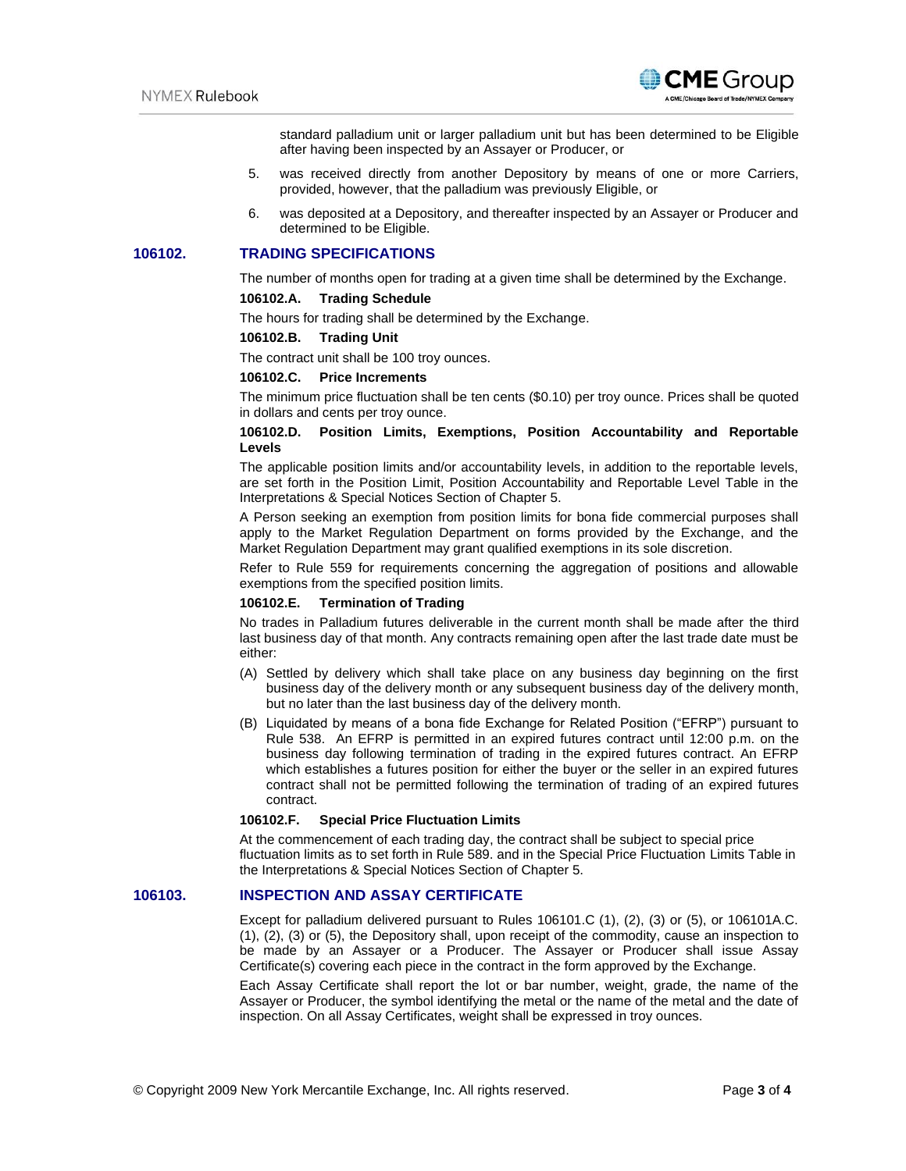

standard palladium unit or larger palladium unit but has been determined to be Eligible after having been inspected by an Assayer or Producer, or

- 5. was received directly from another Depository by means of one or more Carriers, provided, however, that the palladium was previously Eligible, or
- 6. was deposited at a Depository, and thereafter inspected by an Assayer or Producer and determined to be Eligible.

# **106102. TRADING SPECIFICATIONS**

The number of months open for trading at a given time shall be determined by the Exchange.

# **106102.A. Trading Schedule**

The hours for trading shall be determined by the Exchange.

#### **106102.B. Trading Unit**

The contract unit shall be 100 troy ounces.

#### **106102.C. Price Increments**

The minimum price fluctuation shall be ten cents (\$0.10) per troy ounce. Prices shall be quoted in dollars and cents per troy ounce.

### **106102.D. Position Limits, Exemptions, Position Accountability and Reportable Levels**

The applicable position limits and/or accountability levels, in addition to the reportable levels, are set forth in the Position Limit, Position Accountability and Reportable Level Table in the Interpretations & Special Notices Section of Chapter 5.

A Person seeking an exemption from position limits for bona fide commercial purposes shall apply to the Market Regulation Department on forms provided by the Exchange, and the Market Regulation Department may grant qualified exemptions in its sole discretion.

Refer to Rule 559 for requirements concerning the aggregation of positions and allowable exemptions from the specified position limits.

# **106102.E. Termination of Trading**

No trades in Palladium futures deliverable in the current month shall be made after the third last business day of that month. Any contracts remaining open after the last trade date must be either:

- (A) Settled by delivery which shall take place on any business day beginning on the first business day of the delivery month or any subsequent business day of the delivery month, but no later than the last business day of the delivery month.
- (B) Liquidated by means of a bona fide Exchange for Related Position ("EFRP") pursuant to Rule 538. An EFRP is permitted in an expired futures contract until 12:00 p.m. on the business day following termination of trading in the expired futures contract. An EFRP which establishes a futures position for either the buyer or the seller in an expired futures contract shall not be permitted following the termination of trading of an expired futures contract.

### **106102.F. Special Price Fluctuation Limits**

At the commencement of each trading day, the contract shall be subject to special price fluctuation limits as to set forth in Rule 589. and in the Special Price Fluctuation Limits Table in the Interpretations & Special Notices Section of Chapter 5.

# **106103. INSPECTION AND ASSAY CERTIFICATE**

Except for palladium delivered pursuant to Rules 106101.C (1), (2), (3) or (5), or 106101A.C. (1), (2), (3) or (5), the Depository shall, upon receipt of the commodity, cause an inspection to be made by an Assayer or a Producer. The Assayer or Producer shall issue Assay Certificate(s) covering each piece in the contract in the form approved by the Exchange.

Each Assay Certificate shall report the lot or bar number, weight, grade, the name of the Assayer or Producer, the symbol identifying the metal or the name of the metal and the date of inspection. On all Assay Certificates, weight shall be expressed in troy ounces.